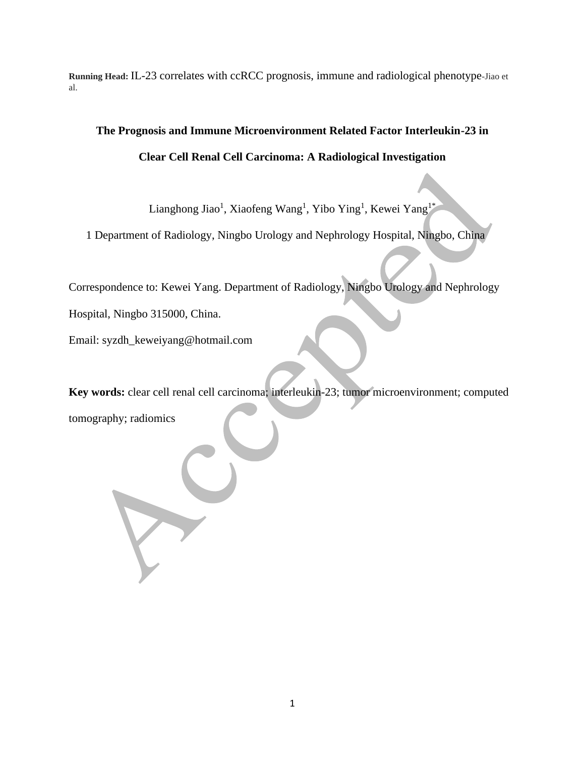**Running Head:** IL-23 correlates with ccRCC prognosis, immune and radiological phenotype-Jiao et al.

# **The Prognosis and Immune Microenvironment Related Factor Interleukin-23 in Clear Cell Renal Cell Carcinoma: A Radiological Investigation**

Lianghong Jiao<sup>1</sup>, Xiaofeng Wang<sup>1</sup>, Yibo Ying<sup>1</sup>, Kewei Yang<sup>1\*</sup>

1 Department of Radiology, Ningbo Urology and Nephrology Hospital, Ningbo, China

Correspondence to: Kewei Yang. Department of Radiology, Ningbo Urology and Nephrology

Hospital, Ningbo 315000, China.

Email: syzdh\_keweiyang@hotmail.com

**Key words:** clear cell renal cell carcinoma; interleukin-23; tumor microenvironment; computed

tomography; radiomics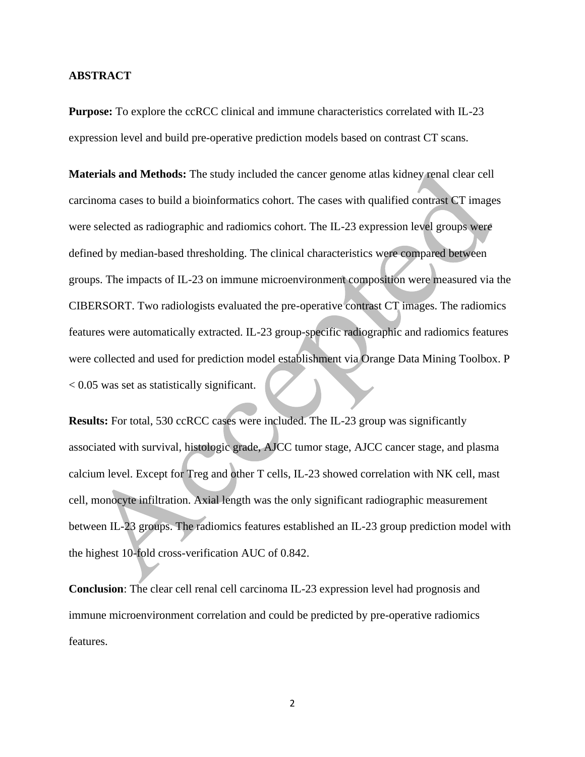#### **ABSTRACT**

**Purpose:** To explore the ccRCC clinical and immune characteristics correlated with IL-23 expression level and build pre-operative prediction models based on contrast CT scans.

**Materials and Methods:** The study included the cancer genome atlas kidney renal clear cell carcinoma cases to build a bioinformatics cohort. The cases with qualified contrast CT images were selected as radiographic and radiomics cohort. The IL-23 expression level groups were defined by median-based thresholding. The clinical characteristics were compared between groups. The impacts of IL-23 on immune microenvironment composition were measured via the CIBERSORT. Two radiologists evaluated the pre-operative contrast CT images. The radiomics features were automatically extracted. IL-23 group-specific radiographic and radiomics features were collected and used for prediction model establishment via Orange Data Mining Toolbox. P < 0.05 was set as statistically significant.

**Results:** For total, 530 ccRCC cases were included. The IL-23 group was significantly associated with survival, histologic grade, AJCC tumor stage, AJCC cancer stage, and plasma calcium level. Except for Treg and other T cells, IL-23 showed correlation with NK cell, mast cell, monocyte infiltration. Axial length was the only significant radiographic measurement between IL-23 groups. The radiomics features established an IL-23 group prediction model with the highest 10-fold cross-verification AUC of 0.842.

**Conclusion**: The clear cell renal cell carcinoma IL-23 expression level had prognosis and immune microenvironment correlation and could be predicted by pre-operative radiomics features.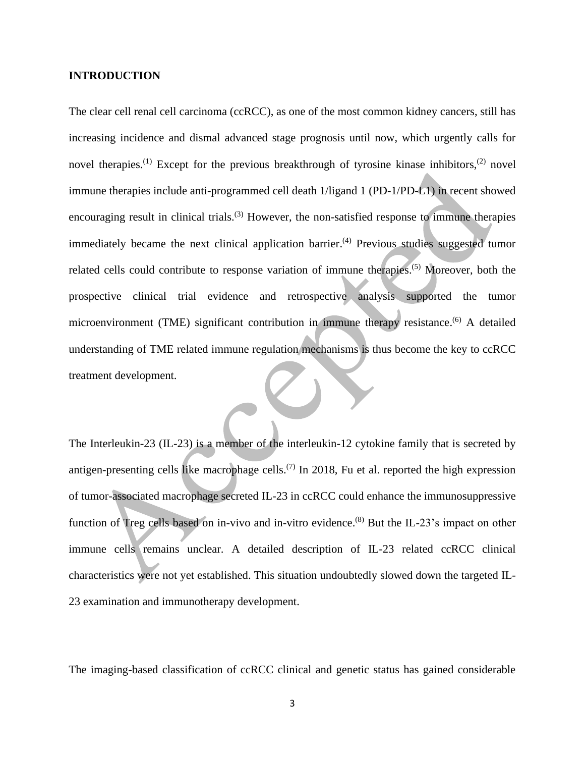#### **INTRODUCTION**

The clear cell renal cell carcinoma (ccRCC), as one of the most common kidney cancers, still has increasing incidence and dismal advanced stage prognosis until now, which urgently calls for novel therapies.<sup>(1)</sup> Except for the previous breakthrough of tyrosine kinase inhibitors,<sup>(2)</sup> novel immune therapies include anti-programmed cell death 1/ligand 1 (PD-1/PD-L1) in recent showed encouraging result in clinical trials.<sup>(3)</sup> However, the non-satisfied response to immune therapies immediately became the next clinical application barrier.<sup>(4)</sup> Previous studies suggested tumor related cells could contribute to response variation of immune therapies.<sup>(5)</sup> Moreover, both the prospective clinical trial evidence and retrospective analysis supported the tumor microenvironment (TME) significant contribution in immune therapy resistance.<sup>(6)</sup> A detailed understanding of TME related immune regulation mechanisms is thus become the key to ccRCC treatment development.

The Interleukin-23 (IL-23) is a member of the interleukin-12 cytokine family that is secreted by antigen-presenting cells like macrophage cells.<sup> $(7)$ </sup> In 2018, Fu et al. reported the high expression of tumor-associated macrophage secreted IL-23 in ccRCC could enhance the immunosuppressive function of Treg cells based on in-vivo and in-vitro evidence.<sup>(8)</sup> But the IL-23's impact on other immune cells remains unclear. A detailed description of IL-23 related ccRCC clinical characteristics were not yet established. This situation undoubtedly slowed down the targeted IL-23 examination and immunotherapy development.

The imaging-based classification of ccRCC clinical and genetic status has gained considerable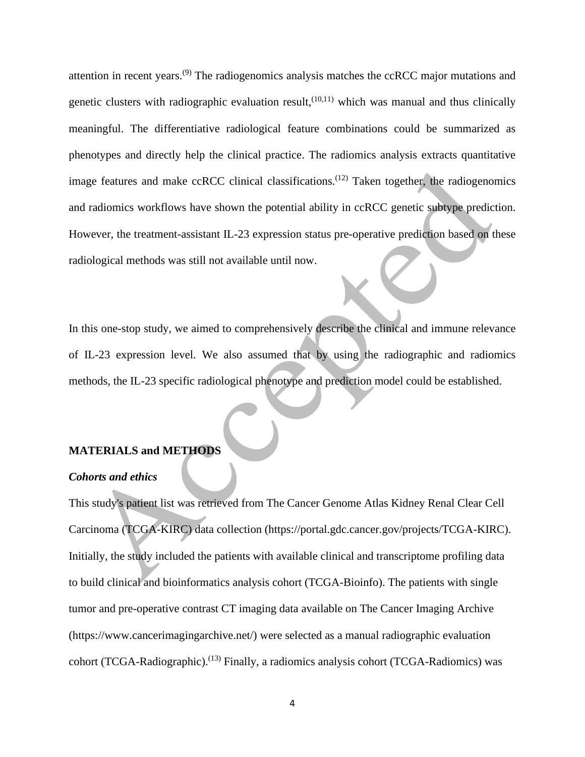attention in recent years.<sup>(9)</sup> The radiogenomics analysis matches the ccRCC major mutations and genetic clusters with radiographic evaluation result,  $(10,11)$  which was manual and thus clinically meaningful. The differentiative radiological feature combinations could be summarized as phenotypes and directly help the clinical practice. The radiomics analysis extracts quantitative image features and make ccRCC clinical classifications.<sup>(12)</sup> Taken together, the radiogenomics and radiomics workflows have shown the potential ability in ccRCC genetic subtype prediction. However, the treatment-assistant IL-23 expression status pre-operative prediction based on these radiological methods was still not available until now.

In this one-stop study, we aimed to comprehensively describe the clinical and immune relevance of IL-23 expression level. We also assumed that by using the radiographic and radiomics methods, the IL-23 specific radiological phenotype and prediction model could be established.

#### **MATERIALS and METHODS**

#### *Cohorts and ethics*

This study's patient list was retrieved from The Cancer Genome Atlas Kidney Renal Clear Cell Carcinoma (TCGA-KIRC) data collection (https://portal.gdc.cancer.gov/projects/TCGA-KIRC). Initially, the study included the patients with available clinical and transcriptome profiling data to build clinical and bioinformatics analysis cohort (TCGA-Bioinfo). The patients with single tumor and pre-operative contrast CT imaging data available on The Cancer Imaging Archive (https://www.cancerimagingarchive.net/) were selected as a manual radiographic evaluation cohort (TCGA-Radiographic).<sup>(13)</sup> Finally, a radiomics analysis cohort (TCGA-Radiomics) was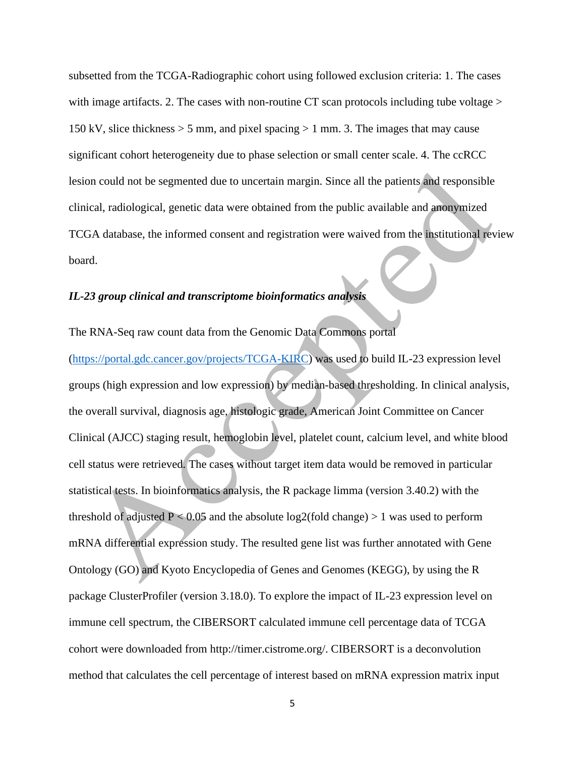subsetted from the TCGA-Radiographic cohort using followed exclusion criteria: 1. The cases with image artifacts. 2. The cases with non-routine CT scan protocols including tube voltage  $>$ 150 kV, slice thickness  $>$  5 mm, and pixel spacing  $>$  1 mm. 3. The images that may cause significant cohort heterogeneity due to phase selection or small center scale. 4. The ccRCC lesion could not be segmented due to uncertain margin. Since all the patients and responsible clinical, radiological, genetic data were obtained from the public available and anonymized TCGA database, the informed consent and registration were waived from the institutional review board.

## *IL-23 group clinical and transcriptome bioinformatics analysis*

#### The RNA-Seq raw count data from the Genomic Data Commons portal

[\(https://portal.gdc.cancer.gov/projects/TCGA-KIRC\)](https://portal.gdc.cancer.gov/projects/TCGA-KIRC) was used to build IL-23 expression level groups (high expression and low expression) by median-based thresholding. In clinical analysis, the overall survival, diagnosis age, histologic grade, American Joint Committee on Cancer Clinical (AJCC) staging result, hemoglobin level, platelet count, calcium level, and white blood cell status were retrieved. The cases without target item data would be removed in particular statistical tests. In bioinformatics analysis, the R package limma (version 3.40.2) with the threshold of adjusted  $P < 0.05$  and the absolute log2(fold change) > 1 was used to perform mRNA differential expression study. The resulted gene list was further annotated with Gene Ontology (GO) and Kyoto Encyclopedia of Genes and Genomes (KEGG), by using the R package ClusterProfiler (version 3.18.0). To explore the impact of IL-23 expression level on immune cell spectrum, the CIBERSORT calculated immune cell percentage data of TCGA cohort were downloaded from http://timer.cistrome.org/. CIBERSORT is a deconvolution method that calculates the cell percentage of interest based on mRNA expression matrix input

5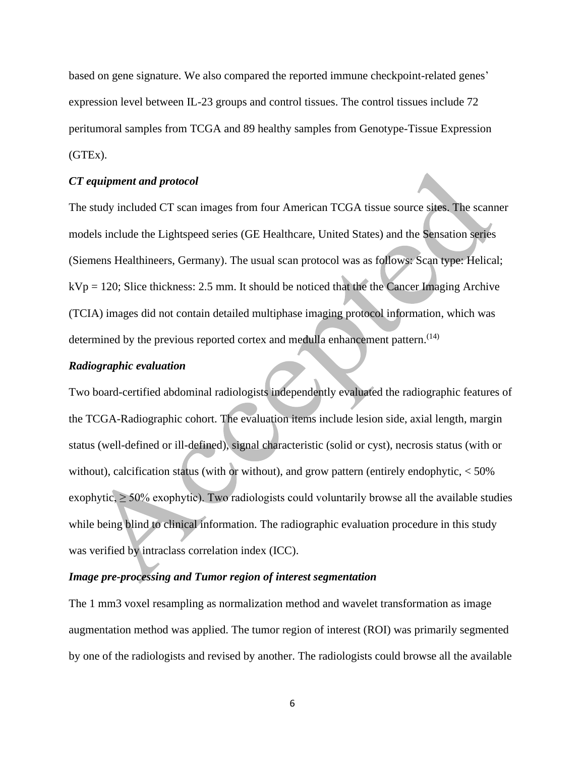based on gene signature. We also compared the reported immune checkpoint-related genes' expression level between IL-23 groups and control tissues. The control tissues include 72 peritumoral samples from TCGA and 89 healthy samples from Genotype-Tissue Expression (GTEx).

#### *CT equipment and protocol*

The study included CT scan images from four American TCGA tissue source sites. The scanner models include the Lightspeed series (GE Healthcare, United States) and the Sensation series (Siemens Healthineers, Germany). The usual scan protocol was as follows: Scan type: Helical;  $kVp = 120$ ; Slice thickness: 2.5 mm. It should be noticed that the the Cancer Imaging Archive (TCIA) images did not contain detailed multiphase imaging protocol information, which was determined by the previous reported cortex and medulla enhancement pattern.<sup>(14)</sup>

#### *Radiographic evaluation*

Two board-certified abdominal radiologists independently evaluated the radiographic features of the TCGA-Radiographic cohort. The evaluation items include lesion side, axial length, margin status (well-defined or ill-defined), signal characteristic (solid or cyst), necrosis status (with or without), calcification status (with or without), and grow pattern (entirely endophytic,  $\langle 50\%$ ) exophytic,  $\geq$  50% exophytic). Two radiologists could voluntarily browse all the available studies while being blind to clinical information. The radiographic evaluation procedure in this study was verified by intraclass correlation index (ICC).

#### *Image pre-processing and Tumor region of interest segmentation*

The 1 mm3 voxel resampling as normalization method and wavelet transformation as image augmentation method was applied. The tumor region of interest (ROI) was primarily segmented by one of the radiologists and revised by another. The radiologists could browse all the available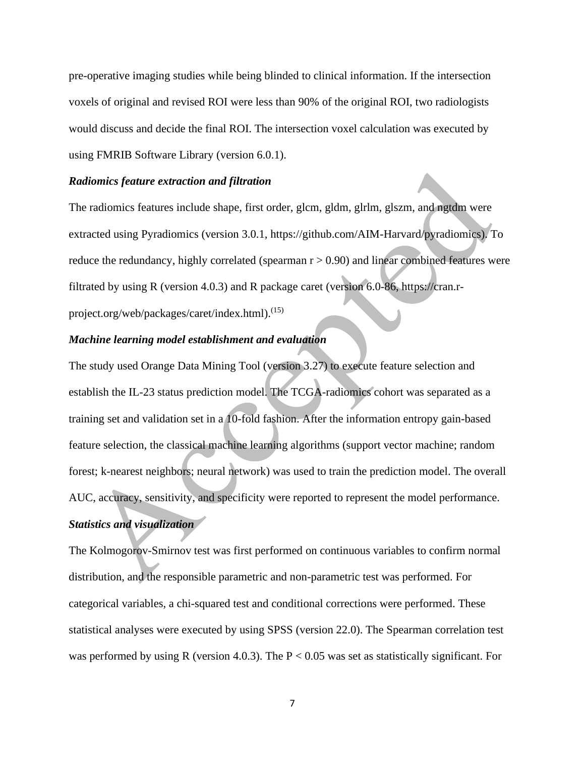pre-operative imaging studies while being blinded to clinical information. If the intersection voxels of original and revised ROI were less than 90% of the original ROI, two radiologists would discuss and decide the final ROI. The intersection voxel calculation was executed by using FMRIB Software Library (version 6.0.1).

#### *Radiomics feature extraction and filtration*

The radiomics features include shape, first order, glcm, gldm, glrlm, glszm, and ngtdm were extracted using Pyradiomics (version 3.0.1, https://github.com/AIM-Harvard/pyradiomics). To reduce the redundancy, highly correlated (spearman  $r > 0.90$ ) and linear combined features were filtrated by using R (version 4.0.3) and R package caret (version 6.0-86, https://cran.rproject.org/web/packages/caret/index.html). (15)

#### *Machine learning model establishment and evaluation*

The study used Orange Data Mining Tool (version 3.27) to execute feature selection and establish the IL-23 status prediction model. The TCGA-radiomics cohort was separated as a training set and validation set in a 10-fold fashion. After the information entropy gain-based feature selection, the classical machine learning algorithms (support vector machine; random forest; k-nearest neighbors; neural network) was used to train the prediction model. The overall AUC, accuracy, sensitivity, and specificity were reported to represent the model performance.

## *Statistics and visualization*

The Kolmogorov-Smirnov test was first performed on continuous variables to confirm normal distribution, and the responsible parametric and non-parametric test was performed. For categorical variables, a chi-squared test and conditional corrections were performed. These statistical analyses were executed by using SPSS (version 22.0). The Spearman correlation test was performed by using R (version 4.0.3). The  $P < 0.05$  was set as statistically significant. For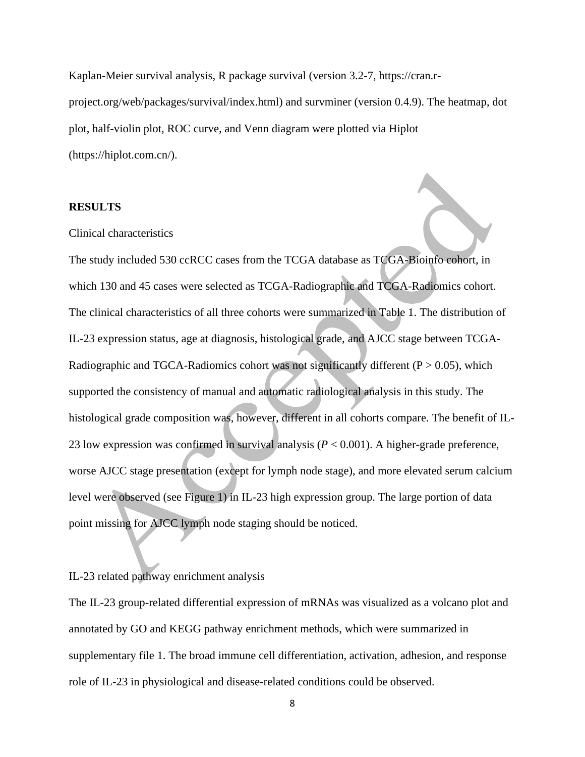Kaplan-Meier survival analysis, R package survival (version 3.2-7, https://cran.rproject.org/web/packages/survival/index.html) and survminer (version 0.4.9). The heatmap, dot plot, half-violin plot, ROC curve, and Venn diagram were plotted via Hiplot (https://hiplot.com.cn/).

#### **RESULTS**

#### Clinical characteristics

The study included 530 ccRCC cases from the TCGA database as TCGA-Bioinfo cohort, in which 130 and 45 cases were selected as TCGA-Radiographic and TCGA-Radiomics cohort. The clinical characteristics of all three cohorts were summarized in Table 1. The distribution of IL-23 expression status, age at diagnosis, histological grade, and AJCC stage between TCGA-Radiographic and TGCA-Radiomics cohort was not significantly different ( $P > 0.05$ ), which supported the consistency of manual and automatic radiological analysis in this study. The histological grade composition was, however, different in all cohorts compare. The benefit of IL-23 low expression was confirmed in survival analysis (*P* < 0.001). A higher-grade preference, worse AJCC stage presentation (except for lymph node stage), and more elevated serum calcium level were observed (see Figure 1) in IL-23 high expression group. The large portion of data point missing for AJCC lymph node staging should be noticed.

#### IL-23 related pathway enrichment analysis

The IL-23 group-related differential expression of mRNAs was visualized as a volcano plot and annotated by GO and KEGG pathway enrichment methods, which were summarized in supplementary file 1. The broad immune cell differentiation, activation, adhesion, and response role of IL-23 in physiological and disease-related conditions could be observed.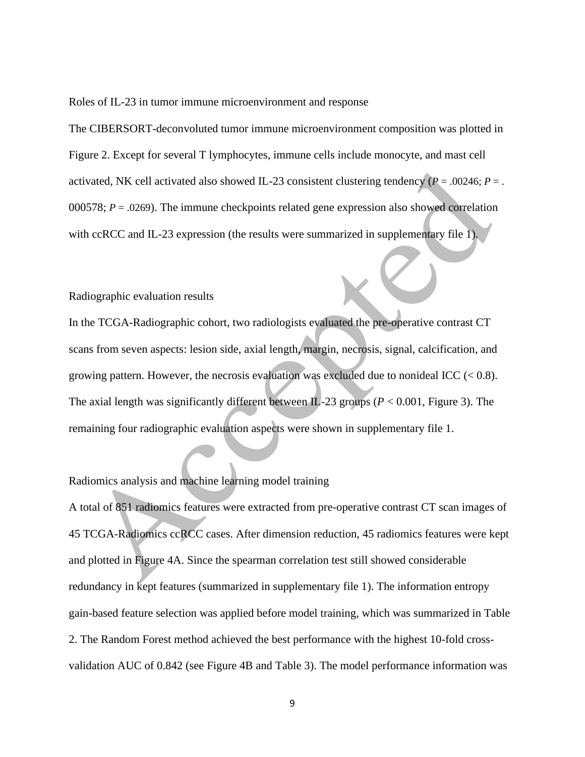Roles of IL-23 in tumor immune microenvironment and response

The CIBERSORT-deconvoluted tumor immune microenvironment composition was plotted in Figure 2. Except for several T lymphocytes, immune cells include monocyte, and mast cell activated, NK cell activated also showed IL-23 consistent clustering tendency ( $P = .00246$ ;  $P = .$ 000578; *P* = .0269). The immune checkpoints related gene expression also showed correlation with ccRCC and IL-23 expression (the results were summarized in supplementary file 1).

#### Radiographic evaluation results

In the TCGA-Radiographic cohort, two radiologists evaluated the pre-operative contrast CT scans from seven aspects: lesion side, axial length, margin, necrosis, signal, calcification, and growing pattern. However, the necrosis evaluation was excluded due to nonideal ICC  $(< 0.8)$ . The axial length was significantly different between IL-23 groups ( $P < 0.001$ , Figure 3). The remaining four radiographic evaluation aspects were shown in supplementary file 1.

### Radiomics analysis and machine learning model training

A total of 851 radiomics features were extracted from pre-operative contrast CT scan images of 45 TCGA-Radiomics ccRCC cases. After dimension reduction, 45 radiomics features were kept and plotted in Figure 4A. Since the spearman correlation test still showed considerable redundancy in kept features (summarized in supplementary file 1). The information entropy gain-based feature selection was applied before model training, which was summarized in Table 2. The Random Forest method achieved the best performance with the highest 10-fold crossvalidation AUC of 0.842 (see Figure 4B and Table 3). The model performance information was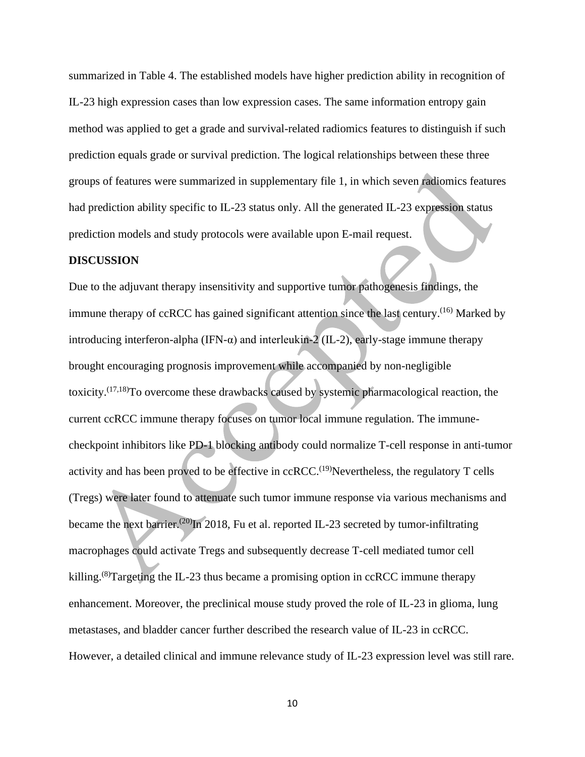summarized in Table 4. The established models have higher prediction ability in recognition of IL-23 high expression cases than low expression cases. The same information entropy gain method was applied to get a grade and survival-related radiomics features to distinguish if such prediction equals grade or survival prediction. The logical relationships between these three groups of features were summarized in supplementary file 1, in which seven radiomics features had prediction ability specific to IL-23 status only. All the generated IL-23 expression status prediction models and study protocols were available upon E-mail request.

#### **DISCUSSION**

Due to the adjuvant therapy insensitivity and supportive tumor pathogenesis findings, the immune therapy of ccRCC has gained significant attention since the last century.<sup>(16)</sup> Marked by introducing interferon-alpha (IFN- $\alpha$ ) and interleukin-2 (IL-2), early-stage immune therapy brought encouraging prognosis improvement while accompanied by non-negligible toxicity. (17,18)To overcome these drawbacks caused by systemic pharmacological reaction, the current ccRCC immune therapy focuses on tumor local immune regulation. The immunecheckpoint inhibitors like PD-1 blocking antibody could normalize T-cell response in anti-tumor activity and has been proved to be effective in  $c\epsilon$ RCC.<sup>(19)</sup>Nevertheless, the regulatory T cells (Tregs) were later found to attenuate such tumor immune response via various mechanisms and became the next barrier.<sup>(20)</sup>In 2018, Fu et al. reported IL-23 secreted by tumor-infiltrating macrophages could activate Tregs and subsequently decrease T-cell mediated tumor cell killing.<sup>(8)</sup>Targeting the IL-23 thus became a promising option in ccRCC immune therapy enhancement. Moreover, the preclinical mouse study proved the role of IL-23 in glioma, lung metastases, and bladder cancer further described the research value of IL-23 in ccRCC. However, a detailed clinical and immune relevance study of IL-23 expression level was still rare.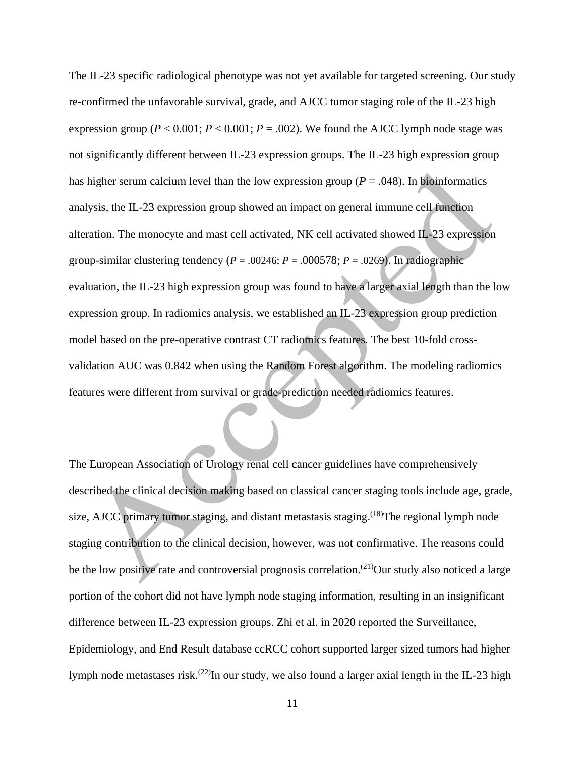The IL-23 specific radiological phenotype was not yet available for targeted screening. Our study re-confirmed the unfavorable survival, grade, and AJCC tumor staging role of the IL-23 high expression group ( $P < 0.001$ ;  $P < 0.001$ ;  $P = .002$ ). We found the AJCC lymph node stage was not significantly different between IL-23 expression groups. The IL-23 high expression group has higher serum calcium level than the low expression group ( $P = .048$ ). In bioinformatics analysis, the IL-23 expression group showed an impact on general immune cell function alteration. The monocyte and mast cell activated, NK cell activated showed IL-23 expression group-similar clustering tendency ( $P = .00246$ ;  $P = .000578$ ;  $P = .0269$ ). In radiographic evaluation, the IL-23 high expression group was found to have a larger axial length than the low expression group. In radiomics analysis, we established an IL-23 expression group prediction model based on the pre-operative contrast CT radiomics features. The best 10-fold crossvalidation AUC was 0.842 when using the Random Forest algorithm. The modeling radiomics features were different from survival or grade-prediction needed radiomics features.

The European Association of Urology renal cell cancer guidelines have comprehensively described the clinical decision making based on classical cancer staging tools include age, grade, size, AJCC primary tumor staging, and distant metastasis staging. <sup>(18)</sup>The regional lymph node staging contribution to the clinical decision, however, was not confirmative. The reasons could be the low positive rate and controversial prognosis correlation.<sup>(21)</sup>Our study also noticed a large portion of the cohort did not have lymph node staging information, resulting in an insignificant difference between IL-23 expression groups. Zhi et al. in 2020 reported the Surveillance, Epidemiology, and End Result database ccRCC cohort supported larger sized tumors had higher lymph node metastases risk.<sup>(22)</sup>In our study, we also found a larger axial length in the IL-23 high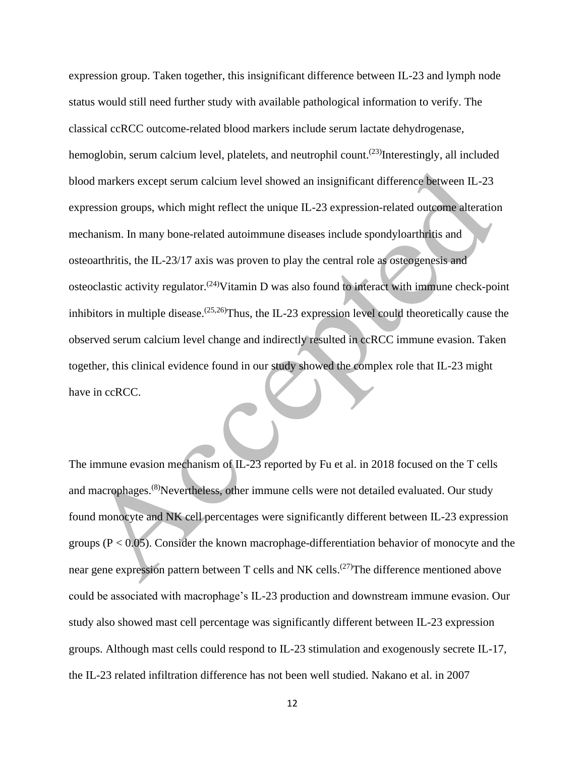expression group. Taken together, this insignificant difference between IL-23 and lymph node status would still need further study with available pathological information to verify. The classical ccRCC outcome-related blood markers include serum lactate dehydrogenase, hemoglobin, serum calcium level, platelets, and neutrophil count.<sup>(23)</sup>Interestingly, all included blood markers except serum calcium level showed an insignificant difference between IL-23 expression groups, which might reflect the unique IL-23 expression-related outcome alteration mechanism. In many bone-related autoimmune diseases include spondyloarthritis and osteoarthritis, the IL-23/17 axis was proven to play the central role as osteogenesis and osteoclastic activity regulator.<sup>(24)</sup>Vitamin D was also found to interact with immune check-point inhibitors in multiple disease.  $(25,26)$ Thus, the IL-23 expression level could theoretically cause the observed serum calcium level change and indirectly resulted in ccRCC immune evasion. Taken together, this clinical evidence found in our study showed the complex role that IL-23 might have in ccRCC.

The immune evasion mechanism of IL-23 reported by Fu et al. in 2018 focused on the T cells and macrophages.<sup>(8)</sup>Nevertheless, other immune cells were not detailed evaluated. Our study found monocyte and NK cell percentages were significantly different between IL-23 expression groups ( $P < 0.05$ ). Consider the known macrophage-differentiation behavior of monocyte and the near gene expression pattern between T cells and NK cells.<sup>(27)</sup>The difference mentioned above could be associated with macrophage's IL-23 production and downstream immune evasion. Our study also showed mast cell percentage was significantly different between IL-23 expression groups. Although mast cells could respond to IL-23 stimulation and exogenously secrete IL-17, the IL-23 related infiltration difference has not been well studied. Nakano et al. in 2007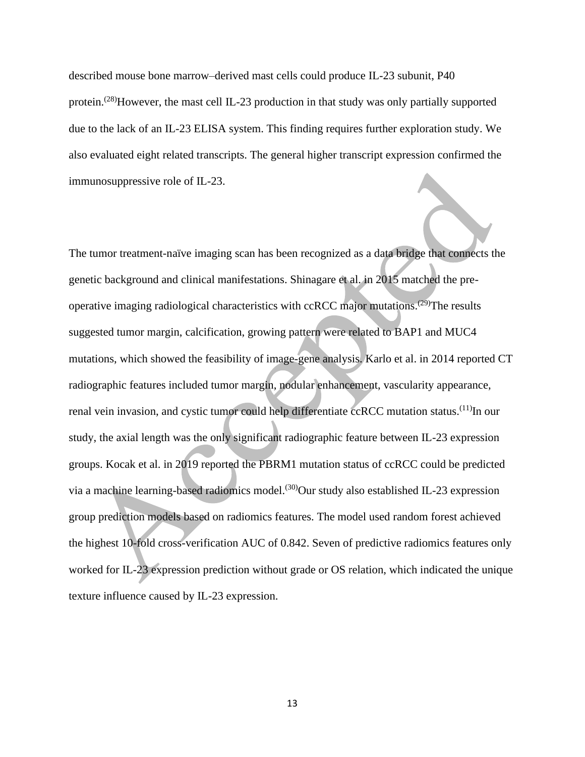described mouse bone marrow–derived mast cells could produce IL-23 subunit, P40 protein.<sup>(28)</sup>However, the mast cell IL-23 production in that study was only partially supported due to the lack of an IL-23 ELISA system. This finding requires further exploration study. We also evaluated eight related transcripts. The general higher transcript expression confirmed the immunosuppressive role of IL-23.

The tumor treatment-naïve imaging scan has been recognized as a data bridge that connects the genetic background and clinical manifestations. Shinagare et al. in 2015 matched the preoperative imaging radiological characteristics with ccRCC major mutations.<sup>(29)</sup>The results suggested tumor margin, calcification, growing pattern were related to BAP1 and MUC4 mutations, which showed the feasibility of image-gene analysis. Karlo et al. in 2014 reported CT radiographic features included tumor margin, nodular enhancement, vascularity appearance, renal vein invasion, and cystic tumor could help differentiate ccRCC mutation status.<sup>(11)</sup>In our study, the axial length was the only significant radiographic feature between IL-23 expression groups. Kocak et al. in 2019 reported the PBRM1 mutation status of ccRCC could be predicted via a machine learning-based radiomics model.<sup>(30)</sup>Our study also established IL-23 expression group prediction models based on radiomics features. The model used random forest achieved the highest 10-fold cross-verification AUC of 0.842. Seven of predictive radiomics features only worked for IL-23 expression prediction without grade or OS relation, which indicated the unique texture influence caused by IL-23 expression.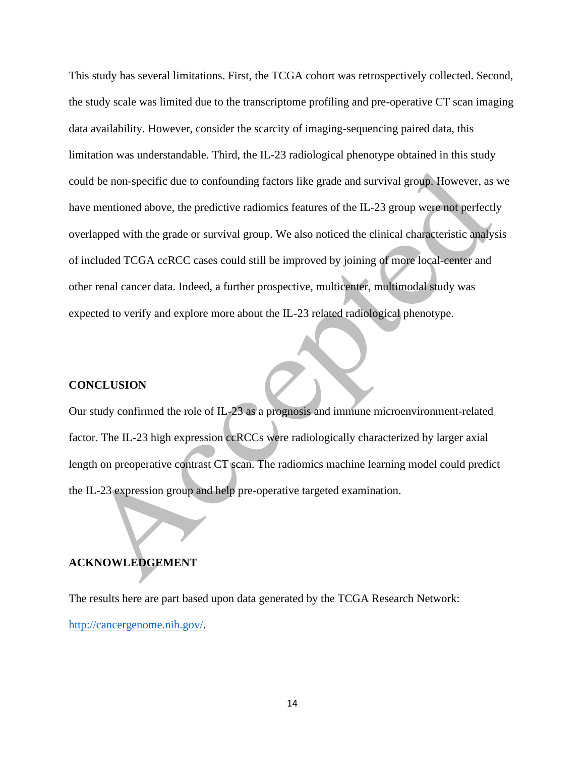This study has several limitations. First, the TCGA cohort was retrospectively collected. Second, the study scale was limited due to the transcriptome profiling and pre-operative CT scan imaging data availability. However, consider the scarcity of imaging-sequencing paired data, this limitation was understandable. Third, the IL-23 radiological phenotype obtained in this study could be non-specific due to confounding factors like grade and survival group. However, as we have mentioned above, the predictive radiomics features of the IL-23 group were not perfectly overlapped with the grade or survival group. We also noticed the clinical characteristic analysis of included TCGA ccRCC cases could still be improved by joining of more local-center and other renal cancer data. Indeed, a further prospective, multicenter, multimodal study was expected to verify and explore more about the IL-23 related radiological phenotype.

#### **CONCLUSION**

Our study confirmed the role of IL-23 as a prognosis and immune microenvironment-related factor. The IL-23 high expression ccRCCs were radiologically characterized by larger axial length on preoperative contrast CT scan. The radiomics machine learning model could predict the IL-23 expression group and help pre-operative targeted examination.

#### **ACKNOWLEDGEMENT**

The results here are part based upon data generated by the TCGA Research Network: [http://cancergenome.nih.gov/.](http://cancergenome.nih.gov/)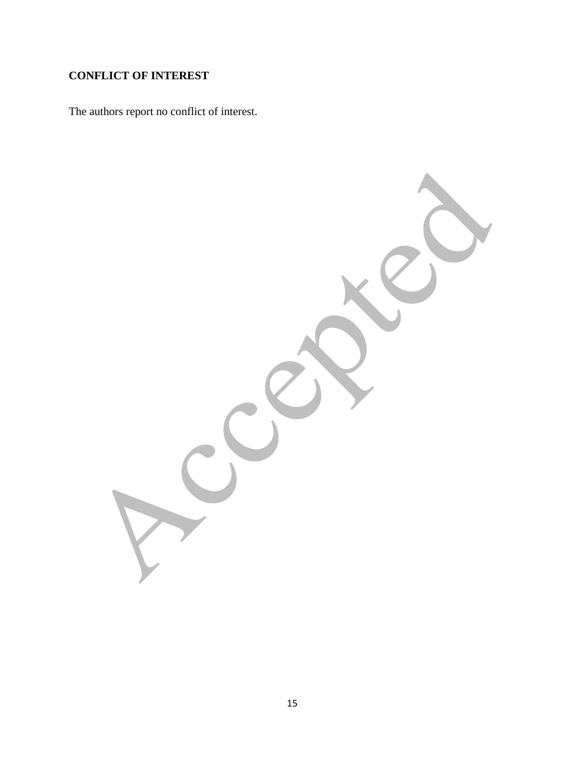## **CONFLICT OF INTEREST**

The authors report no conflict of interest.

15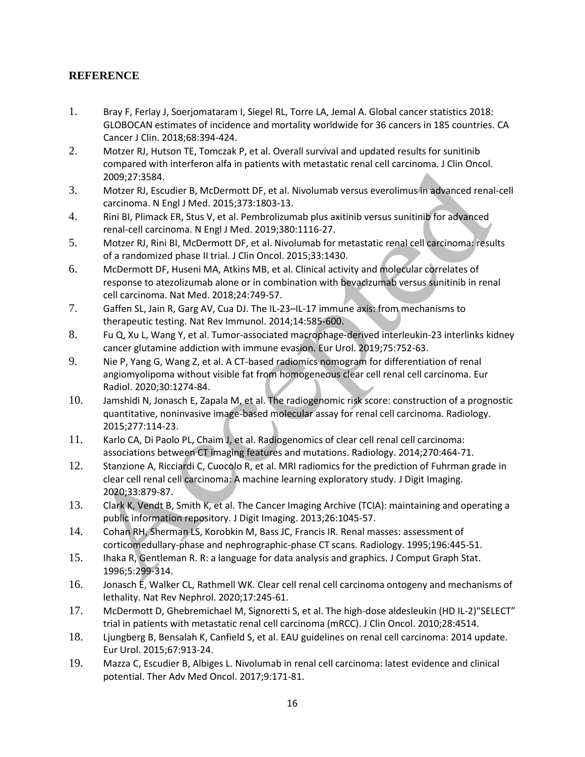## **REFERENCE**

- 1. Bray F, Ferlay J, Soerjomataram I, Siegel RL, Torre LA, Jemal A. Global cancer statistics 2018: GLOBOCAN estimates of incidence and mortality worldwide for 36 cancers in 185 countries. CA Cancer J Clin. 2018;68:394-424.
- 2. Motzer RJ, Hutson TE, Tomczak P, et al. Overall survival and updated results for sunitinib compared with interferon alfa in patients with metastatic renal cell carcinoma. J Clin Oncol. 2009;27:3584.
- 3. Motzer RJ, Escudier B, McDermott DF, et al. Nivolumab versus everolimus in advanced renal-cell carcinoma. N Engl J Med. 2015;373:1803-13.
- 4. Rini BI, Plimack ER, Stus V, et al. Pembrolizumab plus axitinib versus sunitinib for advanced renal-cell carcinoma. N Engl J Med. 2019;380:1116-27.
- 5. Motzer RJ, Rini BI, McDermott DF, et al. Nivolumab for metastatic renal cell carcinoma: results of a randomized phase II trial. J Clin Oncol. 2015;33:1430.
- 6. McDermott DF, Huseni MA, Atkins MB, et al. Clinical activity and molecular correlates of response to atezolizumab alone or in combination with bevacizumab versus sunitinib in renal cell carcinoma. Nat Med. 2018;24:749-57.
- 7. Gaffen SL, Jain R, Garg AV, Cua DJ. The IL-23–IL-17 immune axis: from mechanisms to therapeutic testing. Nat Rev Immunol. 2014;14:585-600.
- 8. Fu Q, Xu L, Wang Y, et al. Tumor-associated macrophage-derived interleukin-23 interlinks kidney cancer glutamine addiction with immune evasion. Eur Urol. 2019;75:752-63.
- 9. Nie P, Yang G, Wang Z, et al. A CT-based radiomics nomogram for differentiation of renal angiomyolipoma without visible fat from homogeneous clear cell renal cell carcinoma. Eur Radiol. 2020;30:1274-84.
- 10. Jamshidi N, Jonasch E, Zapala M, et al. The radiogenomic risk score: construction of a prognostic quantitative, noninvasive image-based molecular assay for renal cell carcinoma. Radiology. 2015;277:114-23.
- 11. Karlo CA, Di Paolo PL, Chaim J, et al. Radiogenomics of clear cell renal cell carcinoma: associations between CT imaging features and mutations. Radiology. 2014;270:464-71.
- 12. Stanzione A, Ricciardi C, Cuocolo R, et al. MRI radiomics for the prediction of Fuhrman grade in clear cell renal cell carcinoma: A machine learning exploratory study. J Digit Imaging. 2020;33:879-87.
- 13. Clark K, Vendt B, Smith K, et al. The Cancer Imaging Archive (TCIA): maintaining and operating a public information repository. J Digit Imaging. 2013;26:1045-57.
- 14. Cohan RH, Sherman LS, Korobkin M, Bass JC, Francis IR. Renal masses: assessment of corticomedullary-phase and nephrographic-phase CT scans. Radiology. 1995;196:445-51.
- 15. Ihaka R, Gentleman R. R: a language for data analysis and graphics. J Comput Graph Stat. 1996;5:299-314.
- 16. Jonasch E, Walker CL, Rathmell WK. Clear cell renal cell carcinoma ontogeny and mechanisms of lethality. Nat Rev Nephrol. 2020;17:245-61.
- 17. McDermott D, Ghebremichael M, Signoretti S, et al. The high-dose aldesleukin (HD IL-2)"SELECT" trial in patients with metastatic renal cell carcinoma (mRCC). J Clin Oncol. 2010;28:4514.
- 18. Ljungberg B, Bensalah K, Canfield S, et al. EAU guidelines on renal cell carcinoma: 2014 update. Eur Urol. 2015;67:913-24.
- 19. Mazza C, Escudier B, Albiges L. Nivolumab in renal cell carcinoma: latest evidence and clinical potential. Ther Adv Med Oncol. 2017;9:171-81.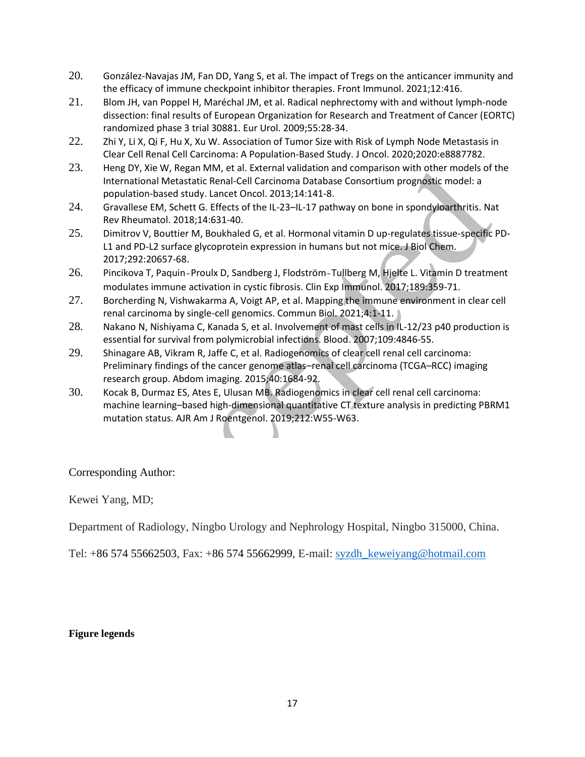- 20. González-Navajas JM, Fan DD, Yang S, et al. The impact of Tregs on the anticancer immunity and the efficacy of immune checkpoint inhibitor therapies. Front Immunol. 2021;12:416.
- 21. Blom JH, van Poppel H, Maréchal JM, et al. Radical nephrectomy with and without lymph-node dissection: final results of European Organization for Research and Treatment of Cancer (EORTC) randomized phase 3 trial 30881. Eur Urol. 2009;55:28-34.
- 22. Zhi Y, Li X, Qi F, Hu X, Xu W. Association of Tumor Size with Risk of Lymph Node Metastasis in Clear Cell Renal Cell Carcinoma: A Population-Based Study. J Oncol. 2020;2020:e8887782.
- 23. Heng DY, Xie W, Regan MM, et al. External validation and comparison with other models of the International Metastatic Renal-Cell Carcinoma Database Consortium prognostic model: a population-based study. Lancet Oncol. 2013;14:141-8.
- 24. Gravallese EM, Schett G. Effects of the IL-23–IL-17 pathway on bone in spondyloarthritis. Nat Rev Rheumatol. 2018;14:631-40.
- 25. Dimitrov V, Bouttier M, Boukhaled G, et al. Hormonal vitamin D up-regulates tissue-specific PD-L1 and PD-L2 surface glycoprotein expression in humans but not mice. J Biol Chem. 2017;292:20657-68.
- 26. Pincikova T, Paquin-Proulx D, Sandberg J, Flodström-Tullberg M, Hjelte L. Vitamin D treatment modulates immune activation in cystic fibrosis. Clin Exp Immunol. 2017;189:359-71.
- 27. Borcherding N, Vishwakarma A, Voigt AP, et al. Mapping the immune environment in clear cell renal carcinoma by single-cell genomics. Commun Biol. 2021;4:1-11.
- 28. Nakano N, Nishiyama C, Kanada S, et al. Involvement of mast cells in IL-12/23 p40 production is essential for survival from polymicrobial infections. Blood. 2007;109:4846-55.
- 29. Shinagare AB, Vikram R, Jaffe C, et al. Radiogenomics of clear cell renal cell carcinoma: Preliminary findings of the cancer genome atlas–renal cell carcinoma (TCGA–RCC) imaging research group. Abdom imaging. 2015;40:1684-92.
- 30. Kocak B, Durmaz ES, Ates E, Ulusan MB. Radiogenomics in clear cell renal cell carcinoma: machine learning–based high-dimensional quantitative CT texture analysis in predicting PBRM1 mutation status. AJR Am J Roentgenol. 2019;212:W55-W63.

Corresponding Author:

Kewei Yang, MD;

Department of Radiology, Ningbo Urology and Nephrology Hospital, Ningbo 315000, China.

Tel: +86 574 55662503, Fax: +86 574 55662999, E-mail: [syzdh\\_keweiyang@hotmail.com](mailto:syzdh_keweiyang@hotmail.com)

#### **Figure legends**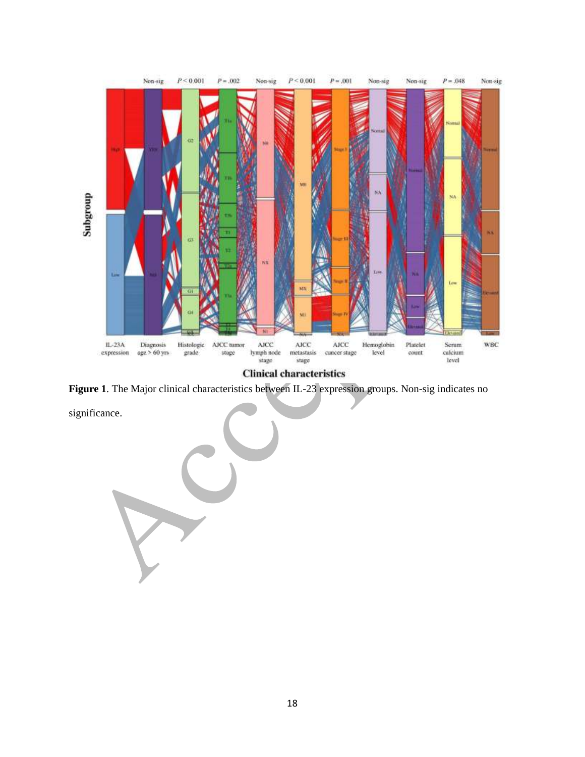

**Clinical characteristics** 

**Figure 1**. The Major clinical characteristics between IL-23 expression groups. Non-sig indicates no

significance.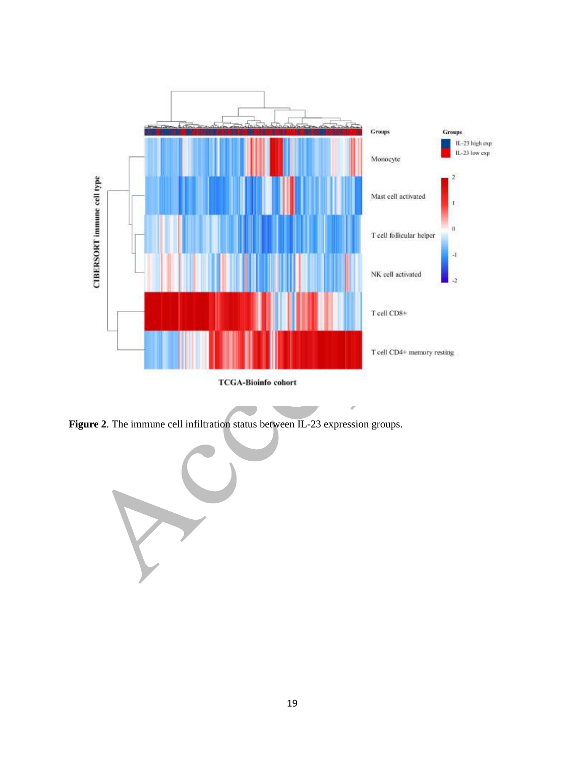

ó

**Figure 2**. The immune cell infiltration status between IL-23 expression groups.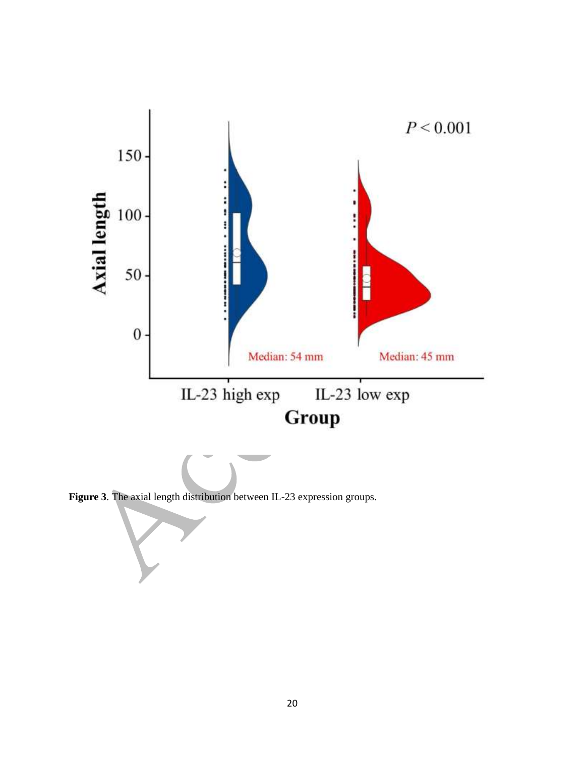

**Figure 3**. The axial length distribution between IL-23 expression groups.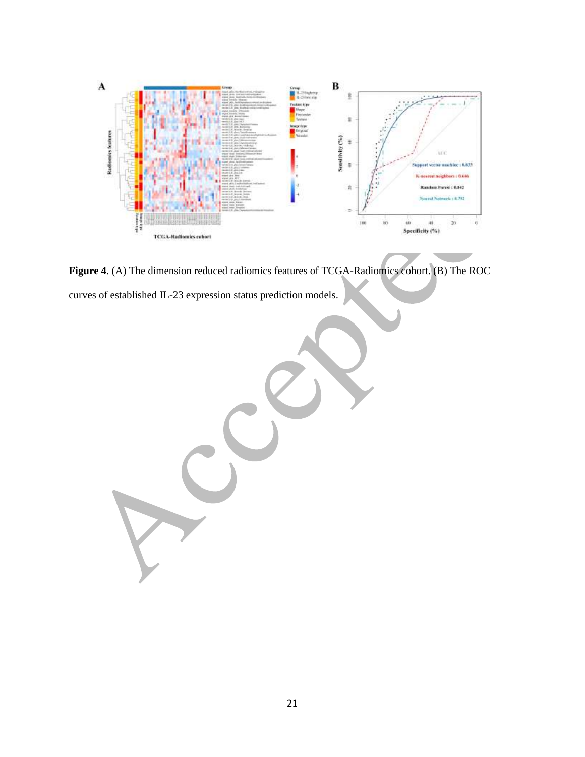

**Figure 4**. (A) The dimension reduced radiomics features of TCGA-Radiomics cohort. (B) The ROC curves of established IL-23 expression status prediction models.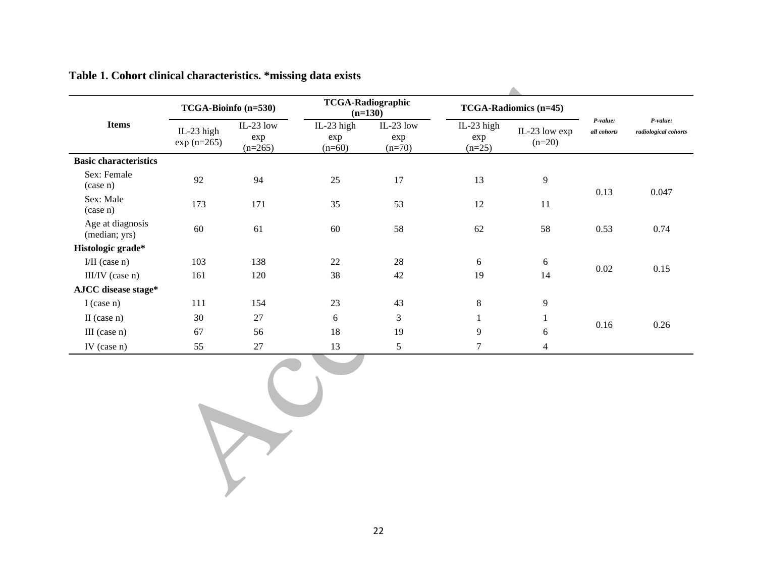| <b>Items</b>                      | TCGA-Bioinfo (n=530)        |                               | <b>TCGA-Radiographic</b><br>$(n=130)$ |                              | <b>TCGA-Radiomics (n=45)</b>  |                           |                         |                                  |  |
|-----------------------------------|-----------------------------|-------------------------------|---------------------------------------|------------------------------|-------------------------------|---------------------------|-------------------------|----------------------------------|--|
|                                   | IL-23 high<br>$exp (n=265)$ | IL-23 low<br>exp<br>$(n=265)$ | IL-23 high<br>exp<br>$(n=60)$         | IL-23 low<br>exp<br>$(n=70)$ | IL-23 high<br>exp<br>$(n=25)$ | IL-23 low exp<br>$(n=20)$ | P-value:<br>all cohorts | P-value:<br>radiological cohorts |  |
| <b>Basic characteristics</b>      |                             |                               |                                       |                              |                               |                           |                         |                                  |  |
| Sex: Female<br>$(\case n)$        | 92                          | 94                            | 25                                    | 17                           | 13                            | 9                         |                         | 0.047                            |  |
| Sex: Male<br>$(\case n)$          | 173                         | 171                           | 35                                    | 53                           | 12                            | 11                        | 0.13                    |                                  |  |
| Age at diagnosis<br>(median; yrs) | 60                          | 61                            | 60                                    | 58                           | 62                            | 58                        | 0.53                    | 0.74                             |  |
| Histologic grade*                 |                             |                               |                                       |                              |                               |                           |                         |                                  |  |
| $I/II$ (case n)                   | 103                         | 138                           | 22                                    | 28                           | 6                             | 6                         | 0.02                    | 0.15                             |  |
| III/IV (case n)                   | 161                         | 120                           | 38                                    | 42                           | 19                            | 14                        |                         |                                  |  |
| AJCC disease stage*               |                             |                               |                                       |                              |                               |                           |                         |                                  |  |
| I (case $n$ )                     | 111                         | 154                           | 23                                    | 43                           | 8                             | 9                         |                         |                                  |  |
| II (case $n$ )                    | 30                          | 27                            | 6                                     | 3                            |                               |                           |                         | 0.26                             |  |
| $III$ (case n)                    | 67                          | 56                            | 18                                    | 19                           | 9                             | 6                         | 0.16                    |                                  |  |
| IV (case $n$ )                    | 55                          | 27                            | 13                                    | 5                            | 7                             | 4                         |                         |                                  |  |

## **Table 1. Cohort clinical characteristics. \*missing data exists**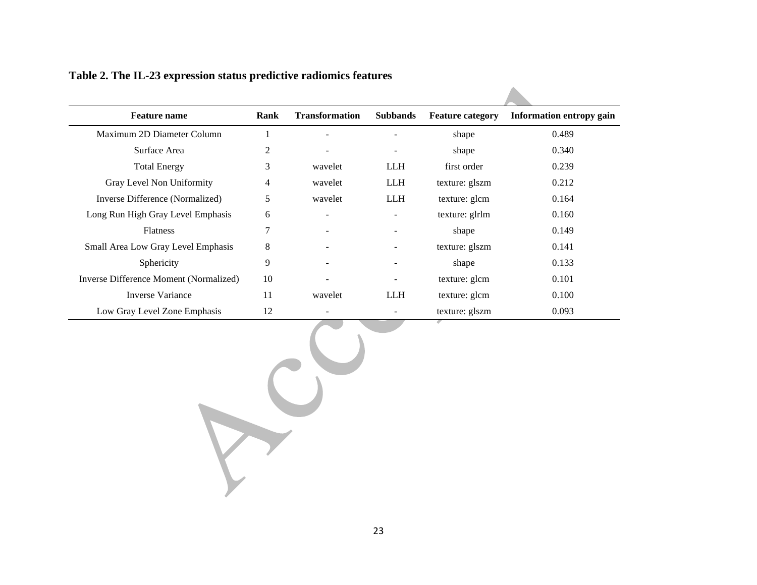| <b>Feature name</b>                    | Rank           | <b>Transformation</b> | <b>Subbands</b>          | <b>Feature category</b> | <b>Information entropy gain</b> |  |
|----------------------------------------|----------------|-----------------------|--------------------------|-------------------------|---------------------------------|--|
| Maximum 2D Diameter Column             | 1              |                       |                          | shape                   | 0.489                           |  |
| Surface Area                           | $\overline{c}$ |                       |                          | shape                   | 0.340                           |  |
| <b>Total Energy</b>                    | 3              | wavelet               | <b>LLH</b>               | first order             | 0.239                           |  |
| Gray Level Non Uniformity              | $\overline{4}$ | wavelet               | <b>LLH</b>               | texture: glszm          | 0.212                           |  |
| Inverse Difference (Normalized)        | 5              | wavelet               | <b>LLH</b>               | texture: glcm           | 0.164                           |  |
| Long Run High Gray Level Emphasis      | 6              |                       |                          | texture: glrlm          | 0.160                           |  |
| Flatness                               | 7              |                       |                          | shape                   | 0.149                           |  |
| Small Area Low Gray Level Emphasis     | $\,8$          |                       |                          | texture: glszm          | 0.141                           |  |
| Sphericity                             | 9              |                       |                          | shape                   | 0.133                           |  |
| Inverse Difference Moment (Normalized) | 10             |                       |                          | texture: glcm           | 0.101                           |  |
| <b>Inverse Variance</b>                | 11             | wavelet               | <b>LLH</b>               | texture: glcm           | 0.100                           |  |
| Low Gray Level Zone Emphasis           | 12             |                       | $\overline{\phantom{a}}$ | texture: glszm          | 0.093                           |  |
|                                        |                |                       |                          |                         |                                 |  |

 $\blacktriangle$ 

## **Table 2. The IL-23 expression status predictive radiomics features**

 $\sum$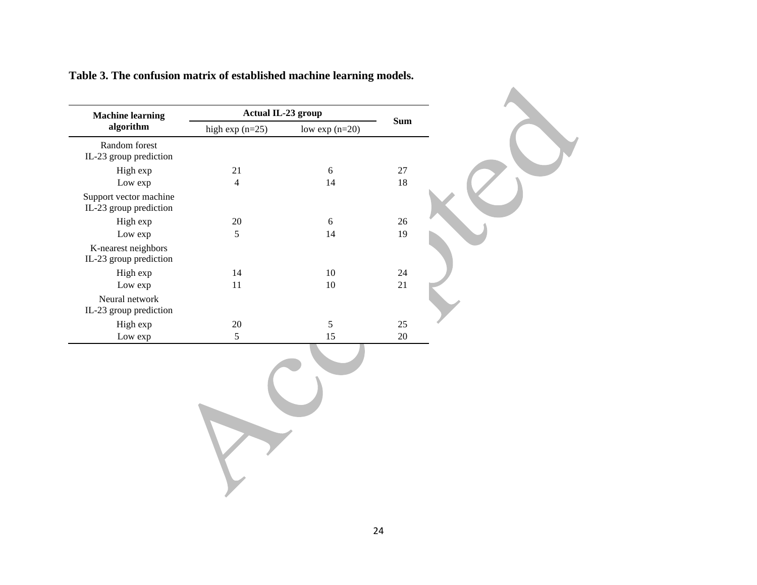| <b>Machine learning</b>                          | <b>Actual IL-23 group</b> |                 |            |
|--------------------------------------------------|---------------------------|-----------------|------------|
| algorithm                                        | high $exp(n=25)$          | low $exp(n=20)$ | <b>Sum</b> |
| Random forest<br>IL-23 group prediction          |                           |                 |            |
| High exp                                         | 21                        | $6\,$           | 27         |
| Low exp                                          | $\overline{4}$            | 14              | $18\,$     |
| Support vector machine<br>IL-23 group prediction |                           |                 |            |
| High exp                                         | $20\,$                    | $6\,$           | $26\,$     |
| Low exp                                          | 5                         | 14              | 19         |
| K-nearest neighbors<br>IL-23 group prediction    |                           |                 |            |
| High exp                                         | 14                        | $10\,$          | $24\,$     |
| Low exp                                          | 11                        | $10\,$          | 21         |
| Neural network<br>IL-23 group prediction         |                           |                 |            |
| High exp                                         | $20\,$                    | $\mathfrak{S}$  | $25\,$     |
| Low exp                                          | 5                         | 15              | $20\,$     |
|                                                  |                           |                 |            |

**Table 3. The confusion matrix of established machine learning models.**